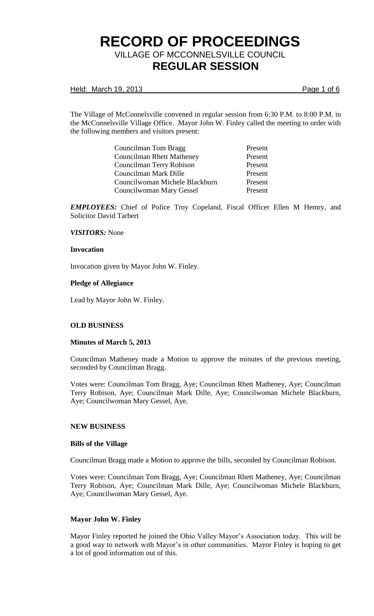Held: March 19, 2013 **Page 1 of 6** 

The Village of McConnelsville convened in regular session from 6:30 P.M. to 8:00 P.M. in the McConnelsville Village Office. Mayor John W. Finley called the meeting to order with the following members and visitors present:

| Councilman Tom Bragg             | Present |
|----------------------------------|---------|
| <b>Councilman Rhett Matheney</b> | Present |
| Councilman Terry Robison         | Present |
| Councilman Mark Dille            | Present |
| Councilwoman Michele Blackburn   | Present |
| Councilwoman Mary Gessel         | Present |

*EMPLOYEES:* Chief of Police Troy Copeland, Fiscal Officer Ellen M Hemry, and Solicitor David Tarbert

### *VISITORS:* None

#### **Invocation**

Invocation given by Mayor John W. Finley.

#### **Pledge of Allegiance**

Lead by Mayor John W. Finley.

## **OLD BUSINESS**

## **Minutes of March 5, 2013**

Councilman Matheney made a Motion to approve the minutes of the previous meeting, seconded by Councilman Bragg.

Votes were: Councilman Tom Bragg, Aye; Councilman Rhett Matheney, Aye; Councilman Terry Robison, Aye; Councilman Mark Dille, Aye; Councilwoman Michele Blackburn, Aye; Councilwoman Mary Gessel, Aye.

#### **NEW BUSINESS**

#### **Bills of the Village**

Councilman Bragg made a Motion to approve the bills, seconded by Councilman Robison.

Votes were: Councilman Tom Bragg, Aye; Councilman Rhett Matheney, Aye; Councilman Terry Robison, Aye; Councilman Mark Dille, Aye; Councilwoman Michele Blackburn, Aye; Councilwoman Mary Gessel, Aye.

## **Mayor John W. Finley**

Mayor Finley reported he joined the Ohio Valley Mayor's Association today. This will be a good way to network with Mayor's in other communities. Mayor Finley is hoping to get a lot of good information out of this.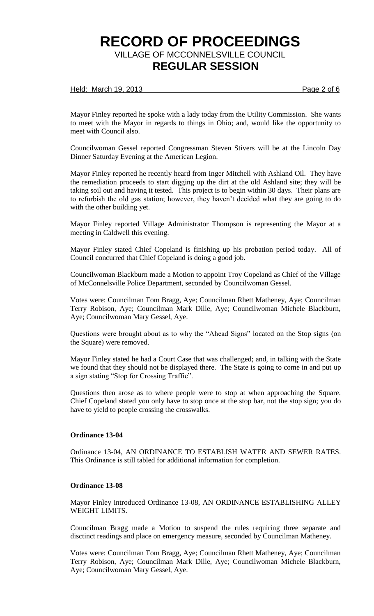#### Held: March 19, 2013 **Page 2 of 6**

Mayor Finley reported he spoke with a lady today from the Utility Commission. She wants to meet with the Mayor in regards to things in Ohio; and, would like the opportunity to meet with Council also.

Councilwoman Gessel reported Congressman Steven Stivers will be at the Lincoln Day Dinner Saturday Evening at the American Legion.

Mayor Finley reported he recently heard from Inger Mitchell with Ashland Oil. They have the remediation proceeds to start digging up the dirt at the old Ashland site; they will be taking soil out and having it tested. This project is to begin within 30 days. Their plans are to refurbish the old gas station; however, they haven't decided what they are going to do with the other building yet.

Mayor Finley reported Village Administrator Thompson is representing the Mayor at a meeting in Caldwell this evening.

Mayor Finley stated Chief Copeland is finishing up his probation period today. All of Council concurred that Chief Copeland is doing a good job.

Councilwoman Blackburn made a Motion to appoint Troy Copeland as Chief of the Village of McConnelsville Police Department, seconded by Councilwoman Gessel.

Votes were: Councilman Tom Bragg, Aye; Councilman Rhett Matheney, Aye; Councilman Terry Robison, Aye; Councilman Mark Dille, Aye; Councilwoman Michele Blackburn, Aye; Councilwoman Mary Gessel, Aye.

Questions were brought about as to why the "Ahead Signs" located on the Stop signs (on the Square) were removed.

Mayor Finley stated he had a Court Case that was challenged; and, in talking with the State we found that they should not be displayed there. The State is going to come in and put up a sign stating "Stop for Crossing Traffic".

Questions then arose as to where people were to stop at when approaching the Square. Chief Copeland stated you only have to stop once at the stop bar, not the stop sign; you do have to yield to people crossing the crosswalks.

## **Ordinance 13-04**

Ordinance 13-04, AN ORDINANCE TO ESTABLISH WATER AND SEWER RATES. This Ordinance is still tabled for additional information for completion.

### **Ordinance 13-08**

Mayor Finley introduced Ordinance 13-08, AN ORDINANCE ESTABLISHING ALLEY WEIGHT LIMITS.

Councilman Bragg made a Motion to suspend the rules requiring three separate and disctinct readings and place on emergency measure, seconded by Councilman Matheney.

Votes were: Councilman Tom Bragg, Aye; Councilman Rhett Matheney, Aye; Councilman Terry Robison, Aye; Councilman Mark Dille, Aye; Councilwoman Michele Blackburn, Aye; Councilwoman Mary Gessel, Aye.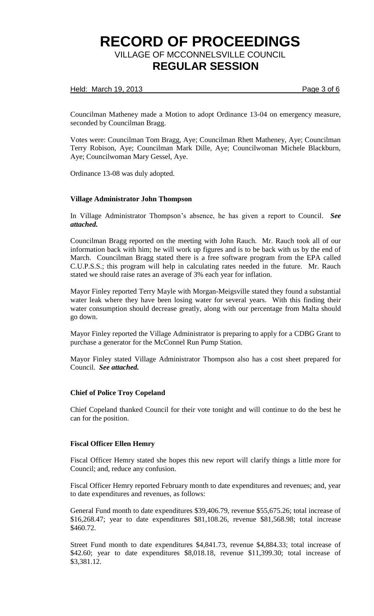### Held: March 19, 2013 **Page 3 of 6**

Councilman Matheney made a Motion to adopt Ordinance 13-04 on emergency measure, seconded by Councilman Bragg.

Votes were: Councilman Tom Bragg, Aye; Councilman Rhett Matheney, Aye; Councilman Terry Robison, Aye; Councilman Mark Dille, Aye; Councilwoman Michele Blackburn, Aye; Councilwoman Mary Gessel, Aye.

Ordinance 13-08 was duly adopted.

### **Village Administrator John Thompson**

In Village Administrator Thompson's absence, he has given a report to Council. *See attached.*

Councilman Bragg reported on the meeting with John Rauch. Mr. Rauch took all of our information back with him; he will work up figures and is to be back with us by the end of March. Councilman Bragg stated there is a free software program from the EPA called C.U.P.S.S.; this program will help in calculating rates needed in the future. Mr. Rauch stated we should raise rates an average of 3% each year for inflation.

Mayor Finley reported Terry Mayle with Morgan-Meigsville stated they found a substantial water leak where they have been losing water for several years. With this finding their water consumption should decrease greatly, along with our percentage from Malta should go down.

Mayor Finley reported the Village Administrator is preparing to apply for a CDBG Grant to purchase a generator for the McConnel Run Pump Station.

Mayor Finley stated Village Administrator Thompson also has a cost sheet prepared for Council. *See attached.*

#### **Chief of Police Troy Copeland**

Chief Copeland thanked Council for their vote tonight and will continue to do the best he can for the position.

#### **Fiscal Officer Ellen Hemry**

Fiscal Officer Hemry stated she hopes this new report will clarify things a little more for Council; and, reduce any confusion.

Fiscal Officer Hemry reported February month to date expenditures and revenues; and, year to date expenditures and revenues, as follows:

General Fund month to date expenditures \$39,406.79, revenue \$55,675.26; total increase of \$16,268.47; year to date expenditures \$81,108.26, revenue \$81,568.98; total increase \$460.72.

Street Fund month to date expenditures \$4,841.73, revenue \$4,884.33; total increase of \$42.60; year to date expenditures \$8,018.18, revenue \$11,399.30; total increase of \$3,381.12.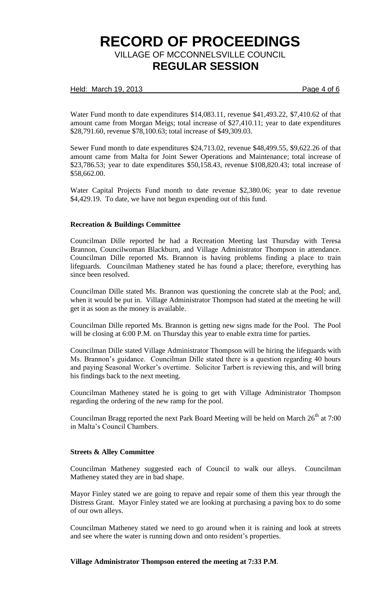### Held: March 19, 2013 **Page 4 of 6**

Water Fund month to date expenditures \$14,083.11, revenue \$41,493.22, \$7,410.62 of that amount came from Morgan Meigs; total increase of \$27,410.11; year to date expenditures \$28,791.60, revenue \$78,100.63; total increase of \$49,309.03.

Sewer Fund month to date expenditures \$24,713.02, revenue \$48,499.55, \$9,622.26 of that amount came from Malta for Joint Sewer Operations and Maintenance; total increase of \$23,786.53; year to date expenditures \$50,158.43, revenue \$108,820.43; total increase of \$58,662.00.

Water Capital Projects Fund month to date revenue \$2,380.06; year to date revenue \$4,429.19. To date, we have not begun expending out of this fund.

### **Recreation & Buildings Committee**

Councilman Dille reported he had a Recreation Meeting last Thursday with Teresa Brannon, Councilwoman Blackburn, and Village Administrator Thompson in attendance. Councilman Dille reported Ms. Brannon is having problems finding a place to train lifeguards. Councilman Matheney stated he has found a place; therefore, everything has since been resolved.

Councilman Dille stated Ms. Brannon was questioning the concrete slab at the Pool; and, when it would be put in. Village Administrator Thompson had stated at the meeting he will get it as soon as the money is available.

Councilman Dille reported Ms. Brannon is getting new signs made for the Pool. The Pool will be closing at 6:00 P.M. on Thursday this year to enable extra time for parties.

Councilman Dille stated Village Administrator Thompson will be hiring the lifeguards with Ms. Brannon's guidance. Councilman Dille stated there is a question regarding 40 hours and paying Seasonal Worker's overtime. Solicitor Tarbert is reviewing this, and will bring his findings back to the next meeting.

Councilman Matheney stated he is going to get with Village Administrator Thompson regarding the ordering of the new ramp for the pool.

Councilman Bragg reported the next Park Board Meeting will be held on March  $26<sup>th</sup>$  at 7:00 in Malta's Council Chambers.

#### **Streets & Alley Committee**

Councilman Matheney suggested each of Council to walk our alleys. Councilman Matheney stated they are in bad shape.

Mayor Finley stated we are going to repave and repair some of them this year through the Distress Grant. Mayor Finley stated we are looking at purchasing a paving box to do some of our own alleys.

Councilman Matheney stated we need to go around when it is raining and look at streets and see where the water is running down and onto resident's properties.

## **Village Administrator Thompson entered the meeting at 7:33 P.M**.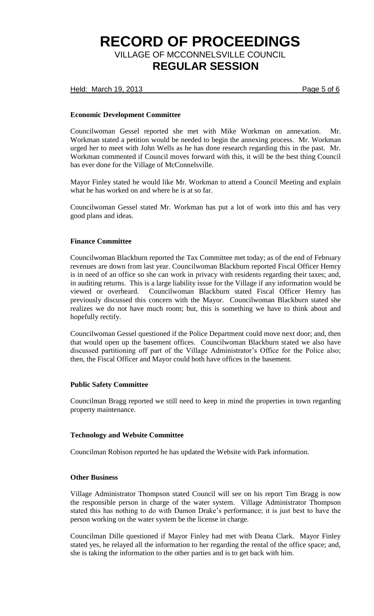Held: March 19, 2013 **Page 5 of 6** 

## **Economic Development Committee**

Councilwoman Gessel reported she met with Mike Workman on annexation. Mr. Workman stated a petition would be needed to begin the annexing process. Mr. Workman urged her to meet with John Wells as he has done research regarding this in the past. Mr. Workman commented if Council moves forward with this, it will be the best thing Council has ever done for the Village of McConnelsville.

Mayor Finley stated he would like Mr. Workman to attend a Council Meeting and explain what he has worked on and where he is at so far.

Councilwoman Gessel stated Mr. Workman has put a lot of work into this and has very good plans and ideas.

## **Finance Committee**

Councilwoman Blackburn reported the Tax Committee met today; as of the end of February revenues are down from last year. Councilwoman Blackburn reported Fiscal Officer Hemry is in need of an office so she can work in privacy with residents regarding their taxes; and, in auditing returns. This is a large liability issue for the Village if any information would be viewed or overheard. Councilwoman Blackburn stated Fiscal Officer Hemry has previously discussed this concern with the Mayor. Councilwoman Blackburn stated she realizes we do not have much room; but, this is something we have to think about and hopefully rectify.

Councilwoman Gessel questioned if the Police Department could move next door; and, then that would open up the basement offices. Councilwoman Blackburn stated we also have discussed partitioning off part of the Village Administrator's Office for the Police also; then, the Fiscal Officer and Mayor could both have offices in the basement.

## **Public Safety Committee**

Councilman Bragg reported we still need to keep in mind the properties in town regarding property maintenance.

## **Technology and Website Committee**

Councilman Robison reported he has updated the Website with Park information.

## **Other Business**

Village Administrator Thompson stated Council will see on his report Tim Bragg is now the responsible person in charge of the water system. Village Administrator Thompson stated this has nothing to do with Damon Drake's performance; it is just best to have the person working on the water system be the license in charge.

Councilman Dille questioned if Mayor Finley had met with Deana Clark. Mayor Finley stated yes, he relayed all the information to her regarding the rental of the office space; and, she is taking the information to the other parties and is to get back with him.